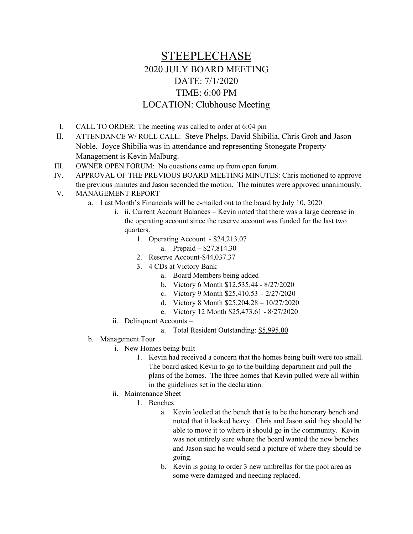## STEEPLECHASE 2020 JULY BOARD MEETING DATE: 7/1/2020 TIME: 6:00 PM LOCATION: Clubhouse Meeting

- I. CALL TO ORDER: The meeting was called to order at 6:04 pm
- II. ATTENDANCE W/ ROLL CALL: Steve Phelps, David Shibilia, Chris Groh and Jason Noble. Joyce Shibilia was in attendance and representing Stonegate Property Management is Kevin Malburg.
- III. OWNER OPEN FORUM: No questions came up from open forum.
- IV. APPROVAL OF THE PREVIOUS BOARD MEETING MINUTES: Chris motioned to approve the previous minutes and Jason seconded the motion. The minutes were approved unanimously.
- V. MANAGEMENT REPORT
	- a. Last Month's Financials will be e-mailed out to the board by July 10, 2020
		- i. ii. Current Account Balances Kevin noted that there was a large decrease in the operating account since the reserve account was funded for the last two quarters.
			- 1. Operating Account \$24,213.07
				- a. Prepaid \$27,814.30
			- 2. Reserve Account-\$44,037.37
			- 3. 4 CDs at Victory Bank
				- a. Board Members being added
				- b. Victory 6 Month \$12,535.44 8/27/2020
				- c. Victory 9 Month \$25,410.53 2/27/2020
				- d. Victory 8 Month \$25,204.28 10/27/2020
				- e. Victory 12 Month \$25,473.61 8/27/2020
		- ii. Delinquent Accounts
			- a. Total Resident Outstanding: \$5,995.00
	- b. Management Tour
		- i. New Homes being built
			- 1. Kevin had received a concern that the homes being built were too small. The board asked Kevin to go to the building department and pull the plans of the homes. The three homes that Kevin pulled were all within in the guidelines set in the declaration.
		- ii. Maintenance Sheet
			- 1. Benches
				- a. Kevin looked at the bench that is to be the honorary bench and noted that it looked heavy. Chris and Jason said they should be able to move it to where it should go in the community. Kevin was not entirely sure where the board wanted the new benches and Jason said he would send a picture of where they should be going.
				- b. Kevin is going to order 3 new umbrellas for the pool area as some were damaged and needing replaced.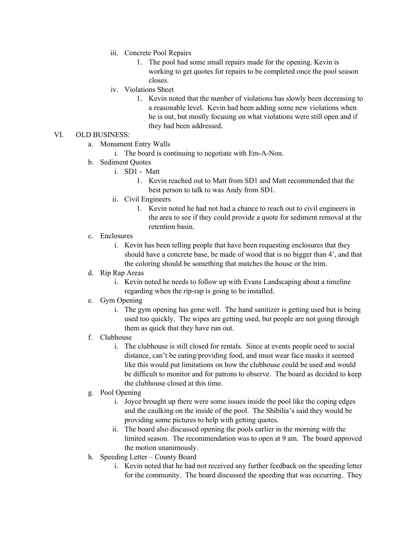- iii. Concrete Pool Repairs
	- 1. The pool had some small repairs made for the opening. Kevin is working to get quotes for repairs to be completed once the pool season closes.
- iv. Violations Sheet
	- 1. Kevin noted that the number of violations has slowly been decreasing to a reasonable level. Kevin had been adding some new violations when he is out, but mostly focusing on what violations were still open and if they had been addressed.
- VI. OLD BUSINESS:
	- a. Monument Entry Walls
		- i. The board is continuing to negotiate with Em-A-Non.
	- b. Sediment Quotes
		- i. SD1 Matt
			- 1. Kevin reached out to Matt from SD1 and Matt recommended that the best person to talk to was Andy from SD1.
		- ii. Civil Engineers
			- 1. Kevin noted he had not had a chance to reach out to civil engineers in the area to see if they could provide a quote for sediment removal at the retention basin.
	- c. Enclosures
		- i. Kevin has been telling people that have been requesting enclosures that they should have a concrete base, be made of wood that is no bigger than 4', and that the coloring should be something that matches the house or the trim.
	- d. Rip Rap Areas
		- i. Kevin noted he needs to follow up with Evans Landscaping about a timeline regarding when the rip-rap is going to be installed.
	- e. Gym Opening
		- i. The gym opening has gone well. The hand sanitizer is getting used but is being used too quickly. The wipes are getting used, but people are not going through them as quick that they have run out.
	- f. Clubhouse
		- i. The clubhouse is still closed for rentals. Since at events people need to social distance, can't be eating/providing food, and must wear face masks it seemed like this would put limitations on how the clubhouse could be used and would be difficult to monitor and for patrons to observe. The board as decided to keep the clubhouse closed at this time.
	- g. Pool Opening
		- i. Joyce brought up there were some issues inside the pool like the coping edges and the caulking on the inside of the pool. The Shibilia's said they would be providing some pictures to help with getting quotes.
		- ii. The board also discussed opening the pools earlier in the morning with the limited season. The recommendation was to open at 9 am. The board approved the motion unanimously.
	- h. Speeding Letter County Board
		- i. Kevin noted that he had not received any further feedback on the speeding letter for the community. The board discussed the speeding that was occurring. They